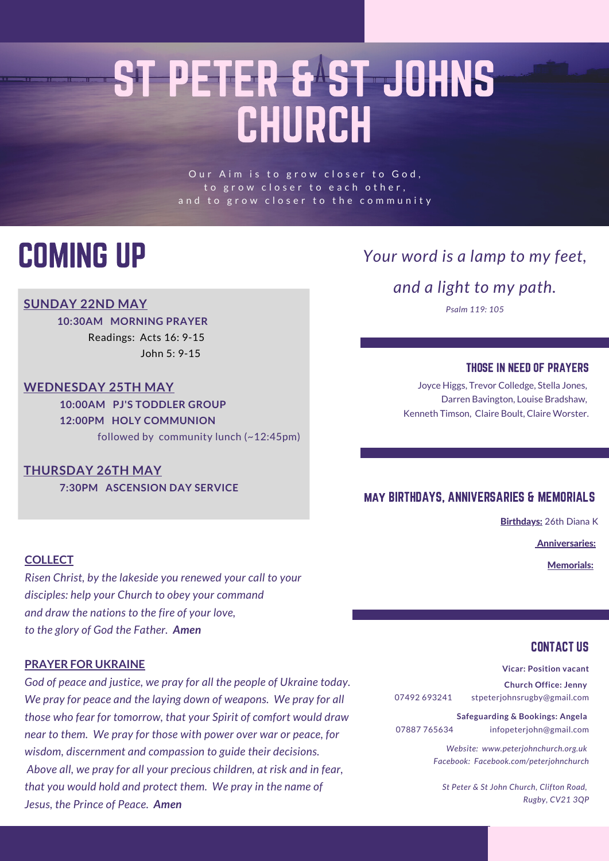## ST PETER & ST JOHNS CHURCH

Our Aim is to grow closer to God, to grow closer to each other, and to grow closer to the community

### COMING UP

#### **SUNDAY 22ND MAY**

**10:30AM MORNING PRAYER** Readings: Acts 16: 9-15 John 5: 9-15

#### **WEDNESDAY 25TH MAY**

**10:00AM PJ'S TODDLER GROUP 12:00PM HOLY COMMUNION** followed by community lunch (~12:45pm)

#### **THURSDAY 26TH MAY**

**7:30PM ASCENSION DAY SERVICE**

#### **COLLECT** Memorials:

*Risen Christ, by the lakeside you renewed your call to your disciples: help your Church to obey your command and draw the nations to the fire of your love, to the glory of God the Father. Amen*

#### **PRAYER FOR UKRAINE**

*God of peace and justice, we pray for all the people of Ukraine today. We pray for peace and the laying down of weapons. We pray for all those who fear for tomorrow, that your Spirit of comfort would draw near to them. We pray for those with power over war or peace, for wisdom, discernment and compassion to guide their decisions. Above all, we pray for all your precious children, at risk and in fear, that you would hold and protect them. We pray in the name of Jesus, the Prince of Peace. Amen*

### *Your word is a lamp to my feet,*

*and a light to my path.*

*Psalm 119: 105*

#### THOSE IN NEED OF PRAYERS

Joyce Higgs, Trevor Colledge, Stella Jones, Darren Bavington, Louise Bradshaw, Kenneth Timson, Claire Boult, Claire Worster.

#### may BIRTHDAYS, ANNIVERSARIES & MEMORIALS

Birthdays: 26th Diana K

Anniversaries:

#### CONTACT US

**Vicar: Position vacant**

**Church Office: Jenny** 07492 693241 stpeterjohnsrugby@gmail.com

**Safeguarding & Bookings: Angela** 07887 765634 infopeterjohn@gmail.com

> *Website: www.peterjohnchurch.org.uk Facebook: Facebook.com/peterjohnchurch*

*St Peter & St John Church, Clifton Road, Rugby, CV21 3QP*